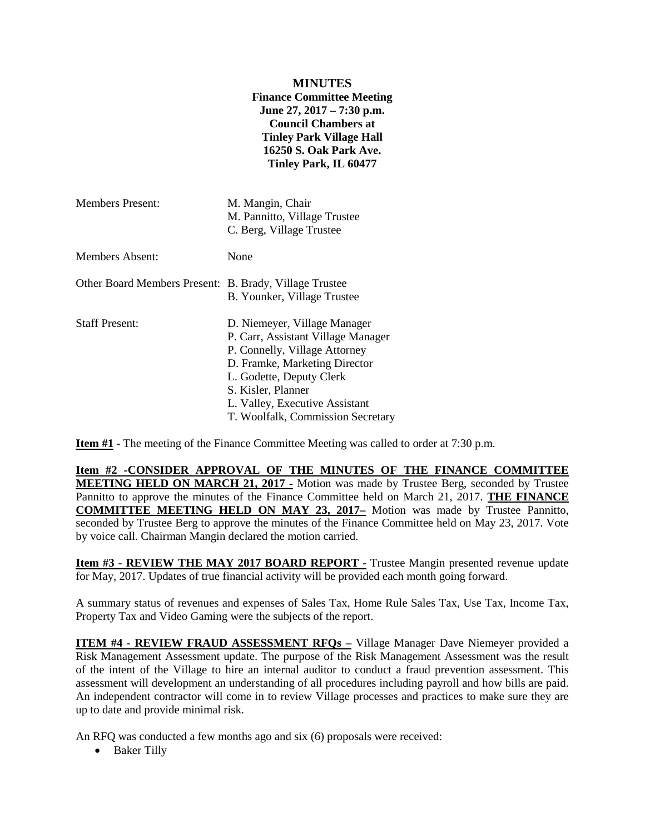## **MINUTES Finance Committee Meeting June 27, 2017 – 7:30 p.m. Council Chambers at Tinley Park Village Hall 16250 S. Oak Park Ave. Tinley Park, IL 60477** Members Present: M. Mangin, Chair M. Pannitto, Village Trustee C. Berg, Village Trustee Members Absent: None Other Board Members Present: B. Brady, Village Trustee B. Younker, Village Trustee Staff Present: D. Niemeyer, Village Manager P. Carr, Assistant Village Manager P. Connelly, Village Attorney D. Framke, Marketing Director L. Godette, Deputy Clerk S. Kisler, Planner L. Valley, Executive Assistant

**Item #1** - The meeting of the Finance Committee Meeting was called to order at 7:30 p.m.

**Item #2 -CONSIDER APPROVAL OF THE MINUTES OF THE FINANCE COMMITTEE MEETING HELD ON MARCH 21, 2017 -** Motion was made by Trustee Berg, seconded by Trustee Pannitto to approve the minutes of the Finance Committee held on March 21, 2017. **THE FINANCE COMMITTEE MEETING HELD ON MAY 23, 2017–** Motion was made by Trustee Pannitto, seconded by Trustee Berg to approve the minutes of the Finance Committee held on May 23, 2017. Vote by voice call. Chairman Mangin declared the motion carried.

T. Woolfalk, Commission Secretary

**Item #3 - REVIEW THE MAY 2017 BOARD REPORT -** Trustee Mangin presented revenue update for May, 2017. Updates of true financial activity will be provided each month going forward.

A summary status of revenues and expenses of Sales Tax, Home Rule Sales Tax, Use Tax, Income Tax, Property Tax and Video Gaming were the subjects of the report.

**ITEM #4 - REVIEW FRAUD ASSESSMENT RFQs –** Village Manager Dave Niemeyer provided a Risk Management Assessment update. The purpose of the Risk Management Assessment was the result of the intent of the Village to hire an internal auditor to conduct a fraud prevention assessment. This assessment will development an understanding of all procedures including payroll and how bills are paid. An independent contractor will come in to review Village processes and practices to make sure they are up to date and provide minimal risk.

An RFQ was conducted a few months ago and six (6) proposals were received:

• Baker Tilly